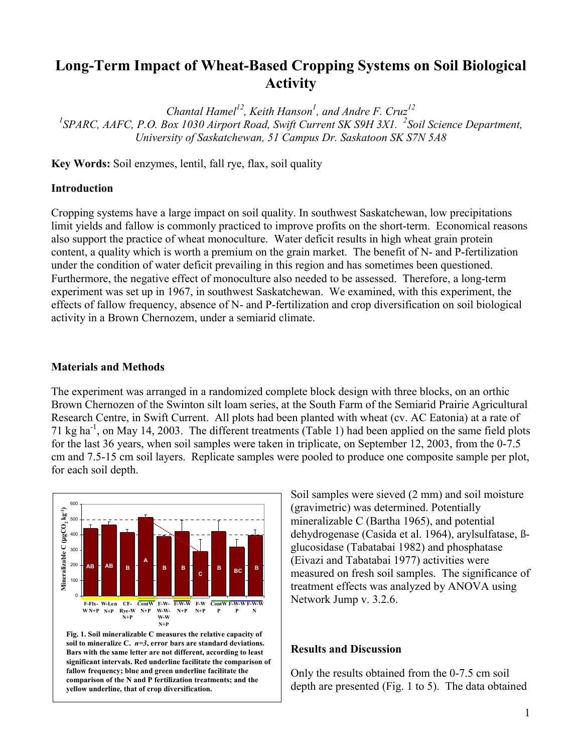# **Long-Term Impact of Wheat-Based Cropping Systems on Soil Biological Activity**

*Chantal Hamel<sup>12</sup>, Keith Hanson<sup>1</sup>, and Andre F. Cruz*<sup>12</sup>

*1 SPARC, AAFC, P.O. Box 1030 Airport Road, Swift Current SK S9H 3X1. <sup>2</sup> Soil Science Department, University of Saskatchewan, 51 Campus Dr. Saskatoon SK S7N 5A8* 

**Key Words:** Soil enzymes, lentil, fall rye, flax, soil quality

#### **Introduction**

Cropping systems have a large impact on soil quality. In southwest Saskatchewan, low precipitations limit yields and fallow is commonly practiced to improve profits on the short-term. Economical reasons also support the practice of wheat monoculture. Water deficit results in high wheat grain protein content, a quality which is worth a premium on the grain market. The benefit of N- and P-fertilization under the condition of water deficit prevailing in this region and has sometimes been questioned. Furthermore, the negative effect of monoculture also needed to be assessed. Therefore, a long-term experiment was set up in 1967, in southwest Saskatchewan. We examined, with this experiment, the effects of fallow frequency, absence of N- and P-fertilization and crop diversification on soil biological activity in a Brown Chernozem, under a semiarid climate.

#### **Materials and Methods**

The experiment was arranged in a randomized complete block design with three blocks, on an orthic Brown Chernozen of the Swinton silt loam series, at the South Farm of the Semiarid Prairie Agricultural Research Centre, in Swift Current. All plots had been planted with wheat (cv. AC Eatonia) at a rate of 71 kg ha<sup>-1</sup>, on May 14, 2003. The different treatments (Table 1) had been applied on the same field plots for the last 36 years, when soil samples were taken in triplicate, on September 12, 2003, from the 0-7.5 cm and 7.5-15 cm soil layers. Replicate samples were pooled to produce one composite sample per plot, for each soil depth.



**comparison of the N and P fertilization treatments; and the** 

**yellow underline, that of crop diversification.**

Soil samples were sieved (2 mm) and soil moisture (gravimetric) was determined. Potentially mineralizable C (Bartha 1965), and potential dehydrogenase (Casida et al. 1964), arylsulfatase, ßglucosidase (Tabatabai 1982) and phosphatase (Eivazi and Tabatabai 1977) activities were measured on fresh soil samples. The significance of treatment effects was analyzed by ANOVA using Network Jump v. 3.2.6.

### **Results and Discussion**

Only the results obtained from the 0-7.5 cm soil depth are presented (Fig. 1 to 5). The data obtained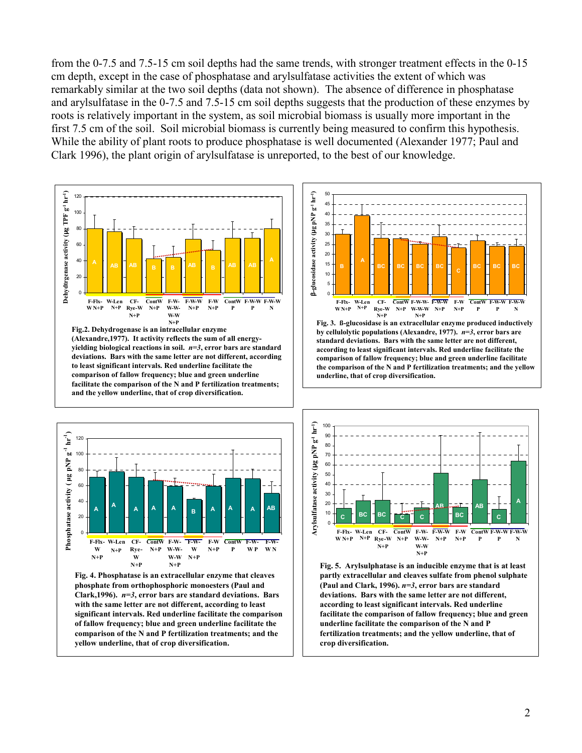from the 0-7.5 and 7.5-15 cm soil depths had the same trends, with stronger treatment effects in the 0-15 cm depth, except in the case of phosphatase and arylsulfatase activities the extent of which was remarkably similar at the two soil depths (data not shown). The absence of difference in phosphatase and arylsulfatase in the 0-7.5 and 7.5-15 cm soil depths suggests that the production of these enzymes by roots is relatively important in the system, as soil microbial biomass is usually more important in the first 7.5 cm of the soil. Soil microbial biomass is currently being measured to confirm this hypothesis. While the ability of plant roots to produce phosphatase is well documented (Alexander 1977; Paul and Clark 1996), the plant origin of arylsulfatase is unreported, to the best of our knowledge.





**Fig. 4. Phosphatase is an extracellular enzyme that cleaves phosphate from orthophosphoric monoesters (Paul and Clark,1996).** *n=3***, error bars are standard deviations. Bars with the same letter are not different, according to least significant intervals. Red underline facilitate the comparison of fallow frequency; blue and green underline facilitate the comparison of the N and P fertilization treatments; and the yellow underline, that of crop diversification.**



**by cellulolytic populations (Alexandre, 1977).** *n=3***, error bars are standard deviations. Bars with the same letter are not different, according to least significant intervals. Red underline facilitate the comparison of fallow frequency; blue and green underline facilitate the comparison of the N and P fertilization treatments; and the yellow underline, that of crop diversification.**



**Fig. 5. Arylsulphatase is an inducible enzyme that is at least partly extracellular and cleaves sulfate from phenol sulphate (Paul and Clark, 1996).** *n=3***, error bars are standard deviations. Bars with the same letter are not different, according to least significant intervals. Red underline facilitate the comparison of fallow frequency; blue and green underline facilitate the comparison of the N and P fertilization treatments; and the yellow underline, that of crop diversification.**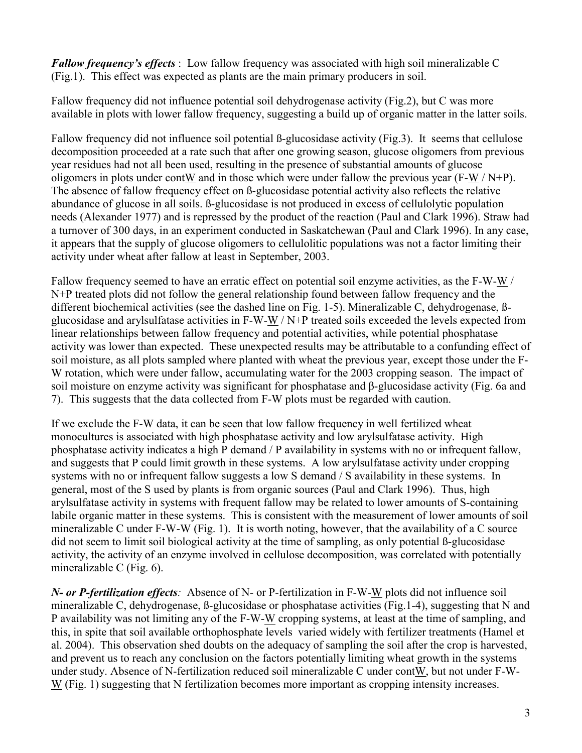*Fallow frequency's effects* : Low fallow frequency was associated with high soil mineralizable C (Fig.1). This effect was expected as plants are the main primary producers in soil.

Fallow frequency did not influence potential soil dehydrogenase activity (Fig.2), but C was more available in plots with lower fallow frequency, suggesting a build up of organic matter in the latter soils.

Fallow frequency did not influence soil potential ß-glucosidase activity (Fig.3). It seems that cellulose decomposition proceeded at a rate such that after one growing season, glucose oligomers from previous year residues had not all been used, resulting in the presence of substantial amounts of glucose oligomers in plots under contW and in those which were under fallow the previous year (F-W / N+P). The absence of fallow frequency effect on ß-glucosidase potential activity also reflects the relative abundance of glucose in all soils. ß-glucosidase is not produced in excess of cellulolytic population needs (Alexander 1977) and is repressed by the product of the reaction (Paul and Clark 1996). Straw had a turnover of 300 days, in an experiment conducted in Saskatchewan (Paul and Clark 1996). In any case, it appears that the supply of glucose oligomers to cellulolitic populations was not a factor limiting their activity under wheat after fallow at least in September, 2003.

Fallow frequency seemed to have an erratic effect on potential soil enzyme activities, as the F-W-W / N+P treated plots did not follow the general relationship found between fallow frequency and the different biochemical activities (see the dashed line on Fig. 1-5). Mineralizable C, dehydrogenase, ßglucosidase and arylsulfatase activities in F-W-W / N+P treated soils exceeded the levels expected from linear relationships between fallow frequency and potential activities, while potential phosphatase activity was lower than expected. These unexpected results may be attributable to a confunding effect of soil moisture, as all plots sampled where planted with wheat the previous year, except those under the F-W rotation, which were under fallow, accumulating water for the 2003 cropping season. The impact of soil moisture on enzyme activity was significant for phosphatase and β-glucosidase activity (Fig. 6a and 7). This suggests that the data collected from F-W plots must be regarded with caution.

If we exclude the F-W data, it can be seen that low fallow frequency in well fertilized wheat monocultures is associated with high phosphatase activity and low arylsulfatase activity. High phosphatase activity indicates a high P demand / P availability in systems with no or infrequent fallow, and suggests that P could limit growth in these systems. A low arylsulfatase activity under cropping systems with no or infrequent fallow suggests a low S demand / S availability in these systems. In general, most of the S used by plants is from organic sources (Paul and Clark 1996). Thus, high arylsulfatase activity in systems with frequent fallow may be related to lower amounts of S-containing labile organic matter in these systems. This is consistent with the measurement of lower amounts of soil mineralizable C under F-W-W (Fig. 1). It is worth noting, however, that the availability of a C source did not seem to limit soil biological activity at the time of sampling, as only potential ß-glucosidase activity, the activity of an enzyme involved in cellulose decomposition, was correlated with potentially mineralizable C (Fig. 6).

*N- or P-fertilization effects:* Absence of N- or P-fertilization in F-W-W plots did not influence soil mineralizable C, dehydrogenase, ß-glucosidase or phosphatase activities (Fig.1-4), suggesting that N and P availability was not limiting any of the F-W-W cropping systems, at least at the time of sampling, and this, in spite that soil available orthophosphate levels varied widely with fertilizer treatments (Hamel et al. 2004). This observation shed doubts on the adequacy of sampling the soil after the crop is harvested, and prevent us to reach any conclusion on the factors potentially limiting wheat growth in the systems under study. Absence of N-fertilization reduced soil mineralizable C under contW, but not under F-W-W (Fig. 1) suggesting that N fertilization becomes more important as cropping intensity increases.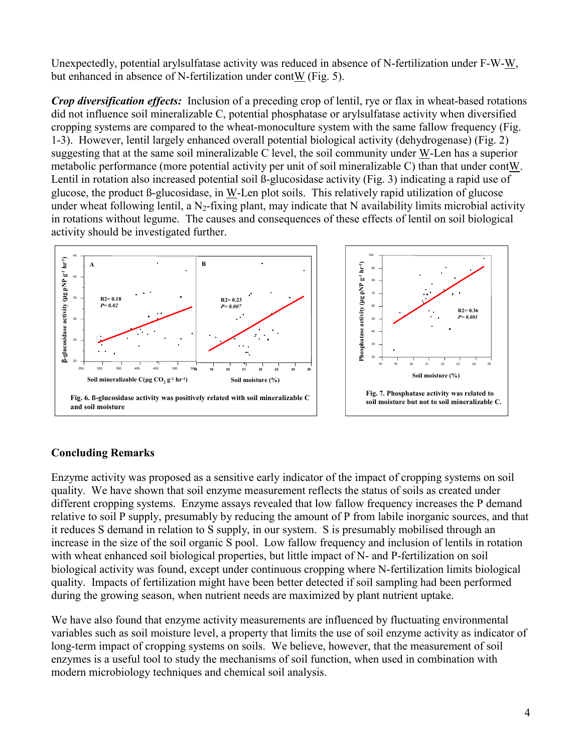Unexpectedly, potential arylsulfatase activity was reduced in absence of N-fertilization under F-W-W, but enhanced in absence of N-fertilization under contW (Fig. 5).

*Crop diversification effects:* Inclusion of a preceding crop of lentil, rye or flax in wheat-based rotations did not influence soil mineralizable C, potential phosphatase or arylsulfatase activity when diversified cropping systems are compared to the wheat-monoculture system with the same fallow frequency (Fig. 1-3). However, lentil largely enhanced overall potential biological activity (dehydrogenase) (Fig. 2) suggesting that at the same soil mineralizable C level, the soil community under W-Len has a superior metabolic performance (more potential activity per unit of soil mineralizable C) than that under contW. Lentil in rotation also increased potential soil ß-glucosidase activity (Fig. 3) indicating a rapid use of glucose, the product ß-glucosidase, in W-Len plot soils. This relatively rapid utilization of glucose under wheat following lentil, a N<sub>2</sub>-fixing plant, may indicate that N availability limits microbial activity in rotations without legume. The causes and consequences of these effects of lentil on soil biological activity should be investigated further.





## **Concluding Remarks**

Enzyme activity was proposed as a sensitive early indicator of the impact of cropping systems on soil quality. We have shown that soil enzyme measurement reflects the status of soils as created under different cropping systems. Enzyme assays revealed that low fallow frequency increases the P demand relative to soil P supply, presumably by reducing the amount of P from labile inorganic sources, and that it reduces S demand in relation to S supply, in our system. S is presumably mobilised through an increase in the size of the soil organic S pool. Low fallow frequency and inclusion of lentils in rotation with wheat enhanced soil biological properties, but little impact of N- and P-fertilization on soil biological activity was found, except under continuous cropping where N-fertilization limits biological quality. Impacts of fertilization might have been better detected if soil sampling had been performed during the growing season, when nutrient needs are maximized by plant nutrient uptake.

We have also found that enzyme activity measurements are influenced by fluctuating environmental variables such as soil moisture level, a property that limits the use of soil enzyme activity as indicator of long-term impact of cropping systems on soils. We believe, however, that the measurement of soil enzymes is a useful tool to study the mechanisms of soil function, when used in combination with modern microbiology techniques and chemical soil analysis.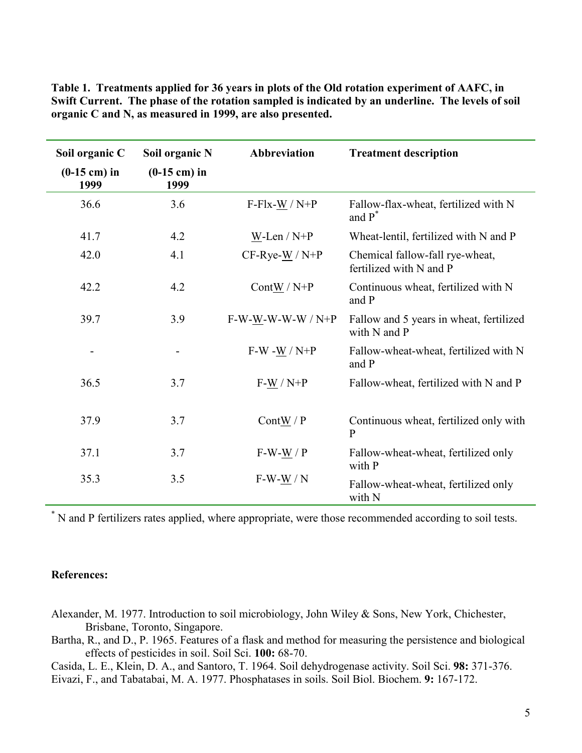| Soil organic C         | Soil organic N         | Abbreviation             | <b>Treatment description</b>                               |
|------------------------|------------------------|--------------------------|------------------------------------------------------------|
| $(0-15$ cm) in<br>1999 | $(0-15$ cm) in<br>1999 |                          |                                                            |
| 36.6                   | 3.6                    | $F-Flx-W/N+P$            | Fallow-flax-wheat, fertilized with N<br>and $P^*$          |
| 41.7                   | 4.2                    | $W-Len / N+P$            | Wheat-lentil, fertilized with N and P                      |
| 42.0                   | 4.1                    | $CF-Rye-W/N+P$           | Chemical fallow-fall rye-wheat,<br>fertilized with N and P |
| 42.2                   | 4.2                    | Cont $\underline{W}/N+P$ | Continuous wheat, fertilized with N<br>and P               |
| 39.7                   | 3.9                    | $F-W-W-W-W-W / N+P$      | Fallow and 5 years in wheat, fertilized<br>with N and P    |
|                        |                        | $F-W-W/N+P$              | Fallow-wheat-wheat, fertilized with N<br>and P             |
| 36.5                   | 3.7                    | $F-W/N+P$                | Fallow-wheat, fertilized with N and P                      |
| 37.9                   | 3.7                    | ContW / P                | Continuous wheat, fertilized only with<br>$\mathbf{P}$     |
| 37.1                   | 3.7                    | $F-W-W/P$                | Fallow-wheat-wheat, fertilized only<br>with P              |
| 35.3                   | 3.5                    | $F-W-W/N$                | Fallow-wheat-wheat, fertilized only<br>with N              |

**Table 1. Treatments applied for 36 years in plots of the Old rotation experiment of AAFC, in Swift Current. The phase of the rotation sampled is indicated by an underline. The levels of soil organic C and N, as measured in 1999, are also presented.** 

\* N and P fertilizers rates applied, where appropriate, were those recommended according to soil tests.

#### **References:**

- Alexander, M. 1977. Introduction to soil microbiology, John Wiley & Sons, New York, Chichester, Brisbane, Toronto, Singapore.
- Bartha, R., and D., P. 1965. Features of a flask and method for measuring the persistence and biological effects of pesticides in soil. Soil Sci. **100:** 68-70.

Casida, L. E., Klein, D. A., and Santoro, T. 1964. Soil dehydrogenase activity. Soil Sci. **98:** 371-376.

Eivazi, F., and Tabatabai, M. A. 1977. Phosphatases in soils. Soil Biol. Biochem. **9:** 167-172.